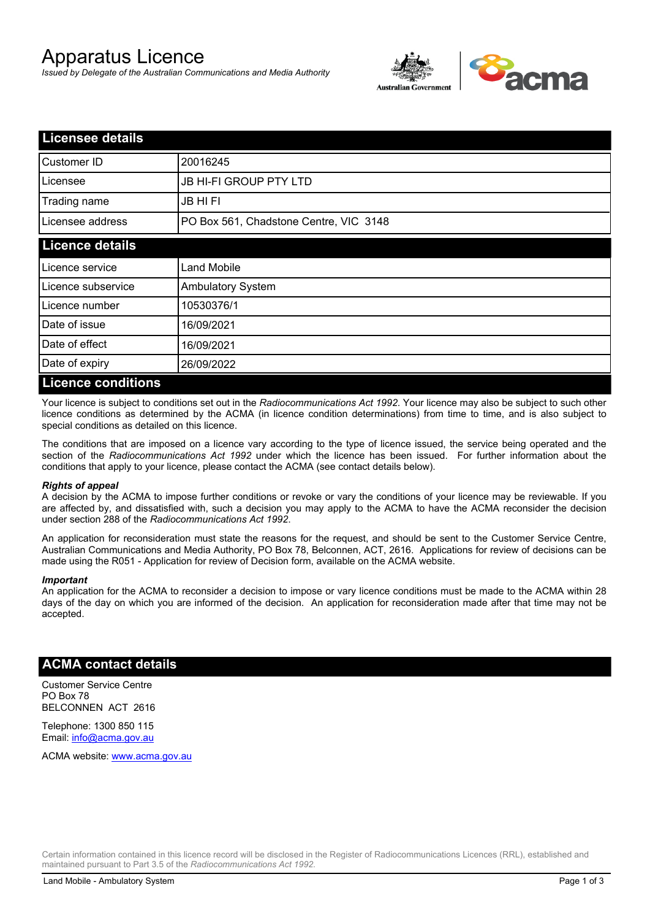# Apparatus Licence

*Issued by Delegate of the Australian Communications and Media Authority*



| <b>Licensee details</b>   |                                        |  |
|---------------------------|----------------------------------------|--|
| Customer ID               | 20016245                               |  |
| Licensee                  | <b>JB HI-FI GROUP PTY LTD</b>          |  |
| Trading name              | <b>JB HIFI</b>                         |  |
| Licensee address          | PO Box 561, Chadstone Centre, VIC 3148 |  |
| <b>Licence details</b>    |                                        |  |
| Licence service           | <b>Land Mobile</b>                     |  |
| Licence subservice        | <b>Ambulatory System</b>               |  |
| Licence number            | 10530376/1                             |  |
| Date of issue             | 16/09/2021                             |  |
| Date of effect            | 16/09/2021                             |  |
| Date of expiry            | 26/09/2022                             |  |
| <b>Licence conditions</b> |                                        |  |

Your licence is subject to conditions set out in the *Radiocommunications Act 1992*. Your licence may also be subject to such other licence conditions as determined by the ACMA (in licence condition determinations) from time to time, and is also subject to special conditions as detailed on this licence.

The conditions that are imposed on a licence vary according to the type of licence issued, the service being operated and the section of the *Radiocommunications Act 1992* under which the licence has been issued. For further information about the conditions that apply to your licence, please contact the ACMA (see contact details below).

#### *Rights of appeal*

A decision by the ACMA to impose further conditions or revoke or vary the conditions of your licence may be reviewable. If you are affected by, and dissatisfied with, such a decision you may apply to the ACMA to have the ACMA reconsider the decision under section 288 of the *Radiocommunications Act 1992*.

An application for reconsideration must state the reasons for the request, and should be sent to the Customer Service Centre, Australian Communications and Media Authority, PO Box 78, Belconnen, ACT, 2616. Applications for review of decisions can be made using the R051 - Application for review of Decision form, available on the ACMA website.

#### *Important*

An application for the ACMA to reconsider a decision to impose or vary licence conditions must be made to the ACMA within 28 days of the day on which you are informed of the decision. An application for reconsideration made after that time may not be accepted.

### **ACMA contact details**

Customer Service Centre PO Box 78 BELCONNEN ACT 2616

Telephone: 1300 850 115 Email: info@acma.gov.au

ACMA website: www.acma.gov.au

Certain information contained in this licence record will be disclosed in the Register of Radiocommunications Licences (RRL), established and maintained pursuant to Part 3.5 of the *Radiocommunications Act 1992.*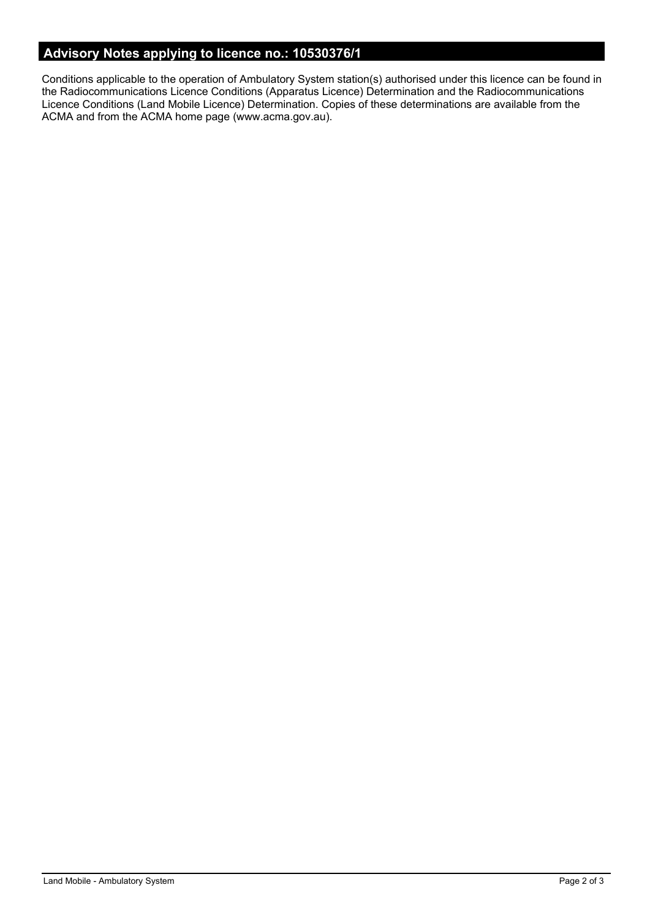# **Advisory Notes applying to licence no.: 10530376/1**

Conditions applicable to the operation of Ambulatory System station(s) authorised under this licence can be found in the Radiocommunications Licence Conditions (Apparatus Licence) Determination and the Radiocommunications Licence Conditions (Land Mobile Licence) Determination. Copies of these determinations are available from the ACMA and from the ACMA home page (www.acma.gov.au).